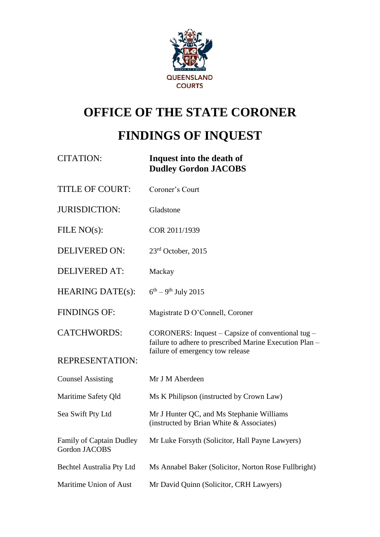

# **OFFICE OF THE STATE CORONER**

# **FINDINGS OF INQUEST**

| <b>CITATION:</b>                          | Inquest into the death of<br><b>Dudley Gordon JACOBS</b>                                                                                         |
|-------------------------------------------|--------------------------------------------------------------------------------------------------------------------------------------------------|
| <b>TITLE OF COURT:</b>                    | Coroner's Court                                                                                                                                  |
| <b>JURISDICTION:</b>                      | Gladstone                                                                                                                                        |
| FILE $NO(s)$ :                            | COR 2011/1939                                                                                                                                    |
| <b>DELIVERED ON:</b>                      | $23rd$ October, 2015                                                                                                                             |
| <b>DELIVERED AT:</b>                      | Mackay                                                                                                                                           |
| <b>HEARING DATE(s):</b>                   | $6^{th} - 9^{th}$ July 2015                                                                                                                      |
| <b>FINDINGS OF:</b>                       | Magistrate D O'Connell, Coroner                                                                                                                  |
| <b>CATCHWORDS:</b>                        | CORONERS: Inquest – Capsize of conventional tug –<br>failure to adhere to prescribed Marine Execution Plan -<br>failure of emergency tow release |
| <b>REPRESENTATION:</b>                    |                                                                                                                                                  |
| <b>Counsel Assisting</b>                  | Mr J M Aberdeen                                                                                                                                  |
| Maritime Safety Qld                       | Ms K Philipson (instructed by Crown Law)                                                                                                         |
| Sea Swift Pty Ltd                         | Mr J Hunter QC, and Ms Stephanie Williams<br>(instructed by Brian White & Associates)                                                            |
| Family of Captain Dudley<br>Gordon JACOBS | Mr Luke Forsyth (Solicitor, Hall Payne Lawyers)                                                                                                  |
| Bechtel Australia Pty Ltd                 | Ms Annabel Baker (Solicitor, Norton Rose Fullbright)                                                                                             |
| Maritime Union of Aust                    | Mr David Quinn (Solicitor, CRH Lawyers)                                                                                                          |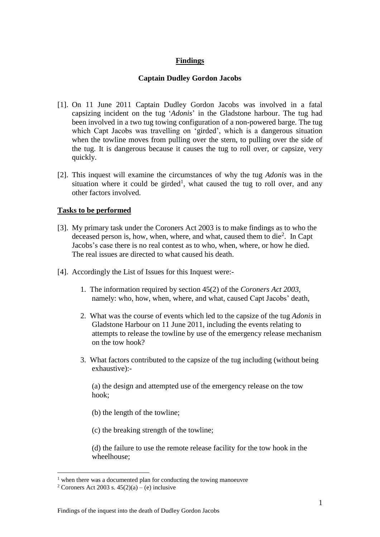# **Findings**

## **Captain Dudley Gordon Jacobs**

- [1]. On 11 June 2011 Captain Dudley Gordon Jacobs was involved in a fatal capsizing incident on the tug '*Adonis*' in the Gladstone harbour. The tug had been involved in a two tug towing configuration of a non-powered barge. The tug which Capt Jacobs was travelling on 'girded', which is a dangerous situation when the towline moves from pulling over the stern, to pulling over the side of the tug. It is dangerous because it causes the tug to roll over, or capsize, very quickly.
- [2]. This inquest will examine the circumstances of why the tug *Adonis* was in the situation where it could be girded<sup>1</sup>, what caused the tug to roll over, and any other factors involved.

#### **Tasks to be performed**

- [3]. My primary task under the Coroners Act 2003 is to make findings as to who the deceased person is, how, when, where, and what, caused them to die<sup>2</sup>. In Capt Jacobs's case there is no real contest as to who, when, where, or how he died. The real issues are directed to what caused his death.
- [4]. Accordingly the List of Issues for this Inquest were:-
	- 1. The information required by section 45(2) of the *Coroners Act 2003*, namely: who, how, when, where, and what, caused Capt Jacobs' death,
	- 2. What was the course of events which led to the capsize of the tug *Adonis* in Gladstone Harbour on 11 June 2011, including the events relating to attempts to release the towline by use of the emergency release mechanism on the tow hook?
	- 3. What factors contributed to the capsize of the tug including (without being exhaustive):-

(a) the design and attempted use of the emergency release on the tow hook;

(b) the length of the towline;

(c) the breaking strength of the towline;

(d) the failure to use the remote release facility for the tow hook in the wheelhouse;

 $1$  when there was a documented plan for conducting the towing manoeuvre

<sup>&</sup>lt;sup>2</sup> Coroners Act 2003 s.  $45(2)(a) - (e)$  inclusive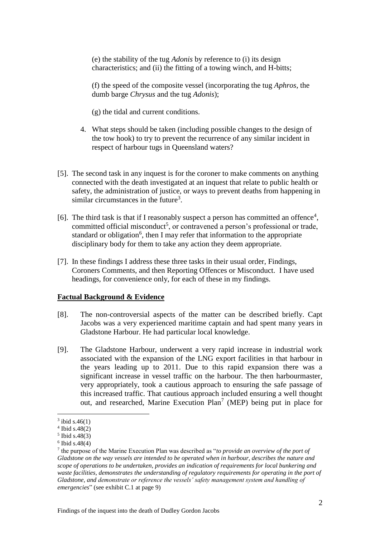(e) the stability of the tug *Adonis* by reference to (i) its design characteristics; and (ii) the fitting of a towing winch, and H-bitts;

(f) the speed of the composite vessel (incorporating the tug *Aphros*, the dumb barge *Chrysus* and the tug *Adonis*);

(g) the tidal and current conditions.

- 4. What steps should be taken (including possible changes to the design of the tow hook) to try to prevent the recurrence of any similar incident in respect of harbour tugs in Queensland waters?
- [5]. The second task in any inquest is for the coroner to make comments on anything connected with the death investigated at an inquest that relate to public health or safety, the administration of justice, or ways to prevent deaths from happening in similar circumstances in the future<sup>3</sup>.
- [6]. The third task is that if I reasonably suspect a person has committed an offence<sup>4</sup>, committed official misconduct<sup>5</sup>, or contravened a person's professional or trade, standard or obligation<sup>6</sup>, then I may refer that information to the appropriate disciplinary body for them to take any action they deem appropriate.
- [7]. In these findings I address these three tasks in their usual order, Findings, Coroners Comments, and then Reporting Offences or Misconduct. I have used headings, for convenience only, for each of these in my findings.

#### **Factual Background & Evidence**

- [8]. The non-controversial aspects of the matter can be described briefly. Capt Jacobs was a very experienced maritime captain and had spent many years in Gladstone Harbour. He had particular local knowledge.
- [9]. The Gladstone Harbour, underwent a very rapid increase in industrial work associated with the expansion of the LNG export facilities in that harbour in the years leading up to 2011. Due to this rapid expansion there was a significant increase in vessel traffic on the harbour. The then harbourmaster, very appropriately, took a cautious approach to ensuring the safe passage of this increased traffic. That cautious approach included ensuring a well thought out, and researched, Marine Execution Plan<sup>7</sup> (MEP) being put in place for

 $3$  ibid s.46(1)

<sup>4</sup> Ibid s.48(2)

<sup>5</sup> Ibid s.48(3)

<sup>6</sup> Ibid s.48(4)

<sup>7</sup> the purpose of the Marine Execution Plan was described as "*to provide an overview of the port of Gladstone on the way vessels are intended to be operated when in harbour, describes the nature and scope of operations to be undertaken, provides an indication of requirements for local bunkering and waste facilities, demonstrates the understanding of regulatory requirements for operating in the port of Gladstone, and demonstrate or reference the vessels' safety management system and handling of emergencies*" (see exhibit C.1 at page 9)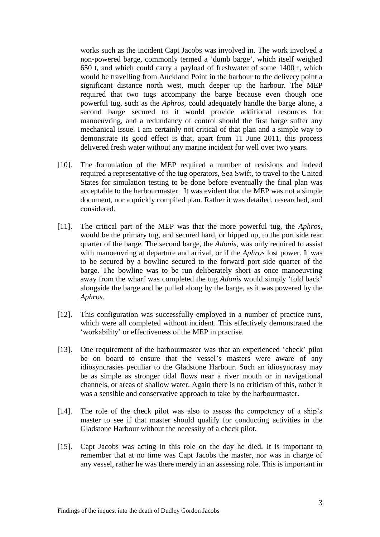works such as the incident Capt Jacobs was involved in. The work involved a non-powered barge, commonly termed a 'dumb barge', which itself weighed 650 t, and which could carry a payload of freshwater of some 1400 t, which would be travelling from Auckland Point in the harbour to the delivery point a significant distance north west, much deeper up the harbour. The MEP required that two tugs accompany the barge because even though one powerful tug, such as the *Aphros*, could adequately handle the barge alone, a second barge secured to it would provide additional resources for manoeuvring, and a redundancy of control should the first barge suffer any mechanical issue. I am certainly not critical of that plan and a simple way to demonstrate its good effect is that, apart from 11 June 2011, this process delivered fresh water without any marine incident for well over two years.

- [10]. The formulation of the MEP required a number of revisions and indeed required a representative of the tug operators, Sea Swift, to travel to the United States for simulation testing to be done before eventually the final plan was acceptable to the harbourmaster. It was evident that the MEP was not a simple document, nor a quickly compiled plan. Rather it was detailed, researched, and considered.
- [11]. The critical part of the MEP was that the more powerful tug, the *Aphros*, would be the primary tug, and secured hard, or hipped up, to the port side rear quarter of the barge. The second barge, the *Adonis*, was only required to assist with manoeuvring at departure and arrival, or if the *Aphros* lost power. It was to be secured by a bowline secured to the forward port side quarter of the barge. The bowline was to be run deliberately short as once manoeuvring away from the wharf was completed the tug *Adonis* would simply 'fold back' alongside the barge and be pulled along by the barge, as it was powered by the *Aphros*.
- [12]. This configuration was successfully employed in a number of practice runs, which were all completed without incident. This effectively demonstrated the 'workability' or effectiveness of the MEP in practise.
- [13]. One requirement of the harbourmaster was that an experienced 'check' pilot be on board to ensure that the vessel's masters were aware of any idiosyncrasies peculiar to the Gladstone Harbour. Such an idiosyncrasy may be as simple as stronger tidal flows near a river mouth or in navigational channels, or areas of shallow water. Again there is no criticism of this, rather it was a sensible and conservative approach to take by the harbourmaster.
- [14]. The role of the check pilot was also to assess the competency of a ship's master to see if that master should qualify for conducting activities in the Gladstone Harbour without the necessity of a check pilot.
- [15]. Capt Jacobs was acting in this role on the day he died. It is important to remember that at no time was Capt Jacobs the master, nor was in charge of any vessel, rather he was there merely in an assessing role. This is important in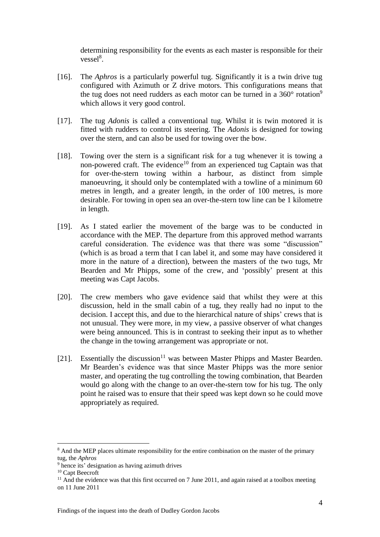determining responsibility for the events as each master is responsible for their vessel<sup>8</sup>.

- [16]. The *Aphros* is a particularly powerful tug. Significantly it is a twin drive tug configured with Azimuth or Z drive motors. This configurations means that the tug does not need rudders as each motor can be turned in a  $360^{\circ}$  rotation<sup>9</sup> which allows it very good control.
- [17]. The tug *Adonis* is called a conventional tug. Whilst it is twin motored it is fitted with rudders to control its steering. The *Adonis* is designed for towing over the stern, and can also be used for towing over the bow.
- [18]. Towing over the stern is a significant risk for a tug whenever it is towing a non-powered craft. The evidence<sup>10</sup> from an experienced tug Captain was that for over-the-stern towing within a harbour, as distinct from simple manoeuvring, it should only be contemplated with a towline of a minimum 60 metres in length, and a greater length, in the order of 100 metres, is more desirable. For towing in open sea an over-the-stern tow line can be 1 kilometre in length.
- [19]. As I stated earlier the movement of the barge was to be conducted in accordance with the MEP. The departure from this approved method warrants careful consideration. The evidence was that there was some "discussion" (which is as broad a term that I can label it, and some may have considered it more in the nature of a direction), between the masters of the two tugs, Mr Bearden and Mr Phipps, some of the crew, and 'possibly' present at this meeting was Capt Jacobs.
- [20]. The crew members who gave evidence said that whilst they were at this discussion, held in the small cabin of a tug, they really had no input to the decision. I accept this, and due to the hierarchical nature of ships' crews that is not unusual. They were more, in my view, a passive observer of what changes were being announced. This is in contrast to seeking their input as to whether the change in the towing arrangement was appropriate or not.
- [21]. Essentially the discussion<sup>11</sup> was between Master Phipps and Master Bearden. Mr Bearden's evidence was that since Master Phipps was the more senior master, and operating the tug controlling the towing combination, that Bearden would go along with the change to an over-the-stern tow for his tug. The only point he raised was to ensure that their speed was kept down so he could move appropriately as required.

<sup>&</sup>lt;sup>8</sup> And the MEP places ultimate responsibility for the entire combination on the master of the primary tug, the *Aphros*

<sup>9</sup> hence its' designation as having azimuth drives

<sup>&</sup>lt;sup>10</sup> Capt Beecroft

 $11$  And the evidence was that this first occurred on 7 June 2011, and again raised at a toolbox meeting on 11 June 2011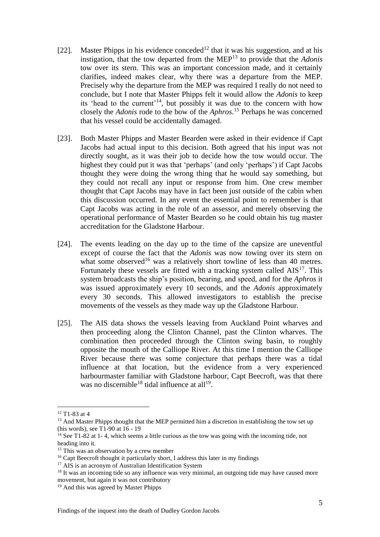- [22]. Master Phipps in his evidence conceded<sup>12</sup> that it was his suggestion, and at his instigation, that the tow departed from the MEP<sup>13</sup> to provide that the *Adonis* tow over its stern. This was an important concession made, and it certainly clarifies, indeed makes clear, why there was a departure from the MEP. Precisely why the departure from the MEP was required I really do not need to conclude, but I note that Master Phipps felt it would allow the *Adonis* to keep its 'head to the current'<sup>14</sup>, but possibly it was due to the concern with how closely the *Adonis* rode to the bow of the *Aphros*. <sup>15</sup> Perhaps he was concerned that his vessel could be accidentally damaged.
- [23]. Both Master Phipps and Master Bearden were asked in their evidence if Capt Jacobs had actual input to this decision. Both agreed that his input was not directly sought, as it was their job to decide how the tow would occur. The highest they could put it was that 'perhaps' (and only 'perhaps') if Capt Jacobs thought they were doing the wrong thing that he would say something, but they could not recall any input or response from him. One crew member thought that Capt Jacobs may have in fact been just outside of the cabin when this discussion occurred. In any event the essential point to remember is that Capt Jacobs was acting in the role of an assessor, and merely observing the operational performance of Master Bearden so he could obtain his tug master accreditation for the Gladstone Harbour.
- [24]. The events leading on the day up to the time of the capsize are uneventful except of course the fact that the *Adonis* was now towing over its stern on what some observed<sup>16</sup> was a relatively short towline of less than 40 metres. Fortunately these vessels are fitted with a tracking system called  $AIS<sup>17</sup>$ . This system broadcasts the ship's position, bearing, and speed, and for the *Aphros* it was issued approximately every 10 seconds, and the *Adonis* approximately every 30 seconds. This allowed investigators to establish the precise movements of the vessels as they made way up the Gladstone Harbour.
- [25]. The AIS data shows the vessels leaving from Auckland Point wharves and then proceeding along the Clinton Channel, past the Clinton wharves. The combination then proceeded through the Clinton swing basin, to roughly opposite the mouth of the Calliope River. At this time I mention the Calliope River because there was some conjecture that perhaps there was a tidal influence at that location, but the evidence from a very experienced harbourmaster familiar with Gladstone harbour, Capt Beecroft, was that there was no discernible<sup>18</sup> tidal influence at all<sup>19</sup>.

<sup>12</sup> T1-83 at 4

 $13$  And Master Phipps thought that the MEP permitted him a discretion in establishing the tow set up (his words), see T1-90 at 16 - 19

 $14$  See T1-82 at 1-4, which seems a little curious as the tow was going with the incoming tide, not heading into it.

<sup>&</sup>lt;sup>15</sup> This was an observation by a crew member

<sup>&</sup>lt;sup>16</sup> Capt Beecroft thought it particularly short. I address this later in my findings

<sup>&</sup>lt;sup>17</sup> AIS is an acronym of Australian Identification System

<sup>&</sup>lt;sup>18</sup> It was an incoming tide so any influence was very minimal, an outgoing tide may have caused more movement, but again it was not contributory

<sup>&</sup>lt;sup>19</sup> And this was agreed by Master Phipps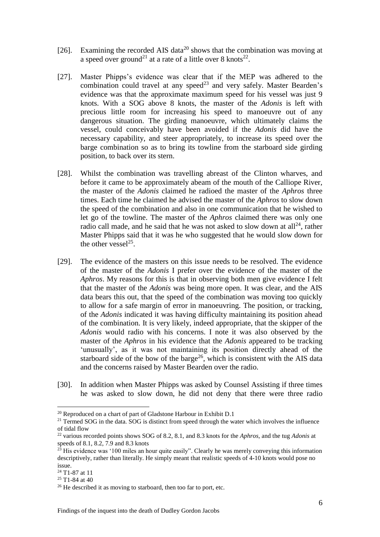- [26]. Examining the recorded AIS data<sup>20</sup> shows that the combination was moving at a speed over ground<sup>21</sup> at a rate of a little over 8 knots<sup>22</sup>.
- [27]. Master Phipps's evidence was clear that if the MEP was adhered to the combination could travel at any speed<sup>23</sup> and very safely. Master Bearden's evidence was that the approximate maximum speed for his vessel was just 9 knots. With a SOG above 8 knots, the master of the *Adonis* is left with precious little room for increasing his speed to manoeuvre out of any dangerous situation. The girding manoeuvre, which ultimately claims the vessel, could conceivably have been avoided if the *Adonis* did have the necessary capability, and steer appropriately, to increase its speed over the barge combination so as to bring its towline from the starboard side girding position, to back over its stern.
- [28]. Whilst the combination was travelling abreast of the Clinton wharves, and before it came to be approximately abeam of the mouth of the Calliope River, the master of the *Adonis* claimed he radioed the master of the *Aphros* three times. Each time he claimed he advised the master of the *Aphros* to slow down the speed of the combination and also in one communication that he wished to let go of the towline. The master of the *Aphros* claimed there was only one radio call made, and he said that he was not asked to slow down at all<sup>24</sup>, rather Master Phipps said that it was he who suggested that he would slow down for the other vessel $25$ .
- [29]. The evidence of the masters on this issue needs to be resolved. The evidence of the master of the *Adonis* I prefer over the evidence of the master of the *Aphros*. My reasons for this is that in observing both men give evidence I felt that the master of the *Adonis* was being more open. It was clear, and the AIS data bears this out, that the speed of the combination was moving too quickly to allow for a safe margin of error in manoeuvring. The position, or tracking, of the *Adonis* indicated it was having difficulty maintaining its position ahead of the combination. It is very likely, indeed appropriate, that the skipper of the *Adonis* would radio with his concerns. I note it was also observed by the master of the *Aphros* in his evidence that the *Adonis* appeared to be tracking 'unusually', as it was not maintaining its position directly ahead of the starboard side of the bow of the barge<sup>26</sup>, which is consistent with the AIS data and the concerns raised by Master Bearden over the radio.
- [30]. In addition when Master Phipps was asked by Counsel Assisting if three times he was asked to slow down, he did not deny that there were three radio

 $20$  Reproduced on a chart of part of Gladstone Harbour in Exhibit D.1

 $21$  Termed SOG in the data. SOG is distinct from speed through the water which involves the influence of tidal flow

<sup>22</sup> various recorded points shows SOG of 8.2, 8.1, and 8.3 knots for the *Aphros*, and the tug *Adonis* at speeds of 8.1, 8.2, 7.9 and 8.3 knots

<sup>&</sup>lt;sup>23</sup> His evidence was '100 miles an hour quite easily". Clearly he was merely conveying this information descriptively, rather than literally. He simply meant that realistic speeds of 4-10 knots would pose no issue.

<sup>24</sup> T1-87 at 11

 $25$  T1-84 at 40

<sup>&</sup>lt;sup>26</sup> He described it as moving to starboard, then too far to port, etc.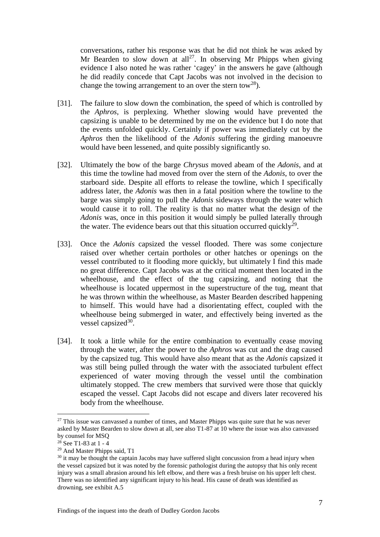conversations, rather his response was that he did not think he was asked by Mr Bearden to slow down at all<sup>27</sup>. In observing Mr Phipps when giving evidence I also noted he was rather 'cagey' in the answers he gave (although he did readily concede that Capt Jacobs was not involved in the decision to change the towing arrangement to an over the stern tow<sup>28</sup>).

- [31]. The failure to slow down the combination, the speed of which is controlled by the *Aphros*, is perplexing. Whether slowing would have prevented the capsizing is unable to be determined by me on the evidence but I do note that the events unfolded quickly. Certainly if power was immediately cut by the *Aphros* then the likelihood of the *Adonis* suffering the girding manoeuvre would have been lessened, and quite possibly significantly so.
- [32]. Ultimately the bow of the barge *Chrysus* moved abeam of the *Adonis*, and at this time the towline had moved from over the stern of the *Adonis*, to over the starboard side. Despite all efforts to release the towline, which I specifically address later, the *Adonis* was then in a fatal position where the towline to the barge was simply going to pull the *Adonis* sideways through the water which would cause it to roll. The reality is that no matter what the design of the *Adonis* was, once in this position it would simply be pulled laterally through the water. The evidence bears out that this situation occurred quickly<sup>29</sup>.
- [33]. Once the *Adonis* capsized the vessel flooded. There was some conjecture raised over whether certain portholes or other hatches or openings on the vessel contributed to it flooding more quickly, but ultimately I find this made no great difference. Capt Jacobs was at the critical moment then located in the wheelhouse, and the effect of the tug capsizing, and noting that the wheelhouse is located uppermost in the superstructure of the tug, meant that he was thrown within the wheelhouse, as Master Bearden described happening to himself. This would have had a disorientating effect, coupled with the wheelhouse being submerged in water, and effectively being inverted as the vessel capsized $30$ .
- [34]. It took a little while for the entire combination to eventually cease moving through the water, after the power to the *Aphros* was cut and the drag caused by the capsized tug. This would have also meant that as the *Adonis* capsized it was still being pulled through the water with the associated turbulent effect experienced of water moving through the vessel until the combination ultimately stopped. The crew members that survived were those that quickly escaped the vessel. Capt Jacobs did not escape and divers later recovered his body from the wheelhouse.

 $27$  This issue was canvassed a number of times, and Master Phipps was quite sure that he was never asked by Master Bearden to slow down at all, see also T1-87 at 10 where the issue was also canvassed by counsel for MSQ

 $28$  See T1-83 at 1 - 4

<sup>29</sup> And Master Phipps said, T1

<sup>&</sup>lt;sup>30</sup> it may be thought the captain Jacobs may have suffered slight concussion from a head injury when the vessel capsized but it was noted by the forensic pathologist during the autopsy that his only recent injury was a small abrasion around his left elbow, and there was a fresh bruise on his upper left chest. There was no identified any significant injury to his head. His cause of death was identified as drowning, see exhibit A.5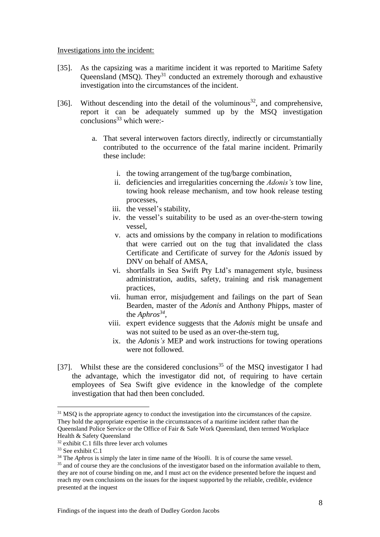#### Investigations into the incident:

- [35]. As the capsizing was a maritime incident it was reported to Maritime Safety Queensland ( $\overrightarrow{MSQ}$ ). They<sup>31</sup> conducted an extremely thorough and exhaustive investigation into the circumstances of the incident.
- [36]. Without descending into the detail of the voluminous<sup>32</sup>, and comprehensive, report it can be adequately summed up by the MSQ investigation conclusions $33$  which were:
	- a. That several interwoven factors directly, indirectly or circumstantially contributed to the occurrence of the fatal marine incident. Primarily these include:
		- i. the towing arrangement of the tug/barge combination,
		- ii. deficiencies and irregularities concerning the *Adonis's* tow line, towing hook release mechanism, and tow hook release testing processes,
		- iii. the vessel's stability,
		- iv. the vessel's suitability to be used as an over-the-stern towing vessel,
		- v. acts and omissions by the company in relation to modifications that were carried out on the tug that invalidated the class Certificate and Certificate of survey for the *Adonis* issued by DNV on behalf of AMSA,
		- vi. shortfalls in Sea Swift Pty Ltd's management style, business administration, audits, safety, training and risk management practices,
		- vii. human error, misjudgement and failings on the part of Sean Bearden, master of the *Adonis* and Anthony Phipps, master of the *Aphros 34* ,
		- viii. expert evidence suggests that the *Adonis* might be unsafe and was not suited to be used as an over-the-stern tug,
		- ix. the *Adonis's* MEP and work instructions for towing operations were not followed.
- [37]. Whilst these are the considered conclusions<sup>35</sup> of the MSO investigator I had the advantage, which the investigator did not, of requiring to have certain employees of Sea Swift give evidence in the knowledge of the complete investigation that had then been concluded.

<sup>&</sup>lt;sup>31</sup> MSQ is the appropriate agency to conduct the investigation into the circumstances of the capsize. They hold the appropriate expertise in the circumstances of a maritime incident rather than the Queensland Police Service or the Office of Fair & Safe Work Queensland, then termed Workplace Health & Safety Queensland

<sup>32</sup> exhibit C.1 fills three lever arch volumes

<sup>33</sup> See exhibit C.1

<sup>34</sup> The *Aphros* is simply the later in time name of the *Woolli*. It is of course the same vessel.

 $35$  and of course they are the conclusions of the investigator based on the information available to them. they are not of course binding on me, and I must act on the evidence presented before the inquest and reach my own conclusions on the issues for the inquest supported by the reliable, credible, evidence presented at the inquest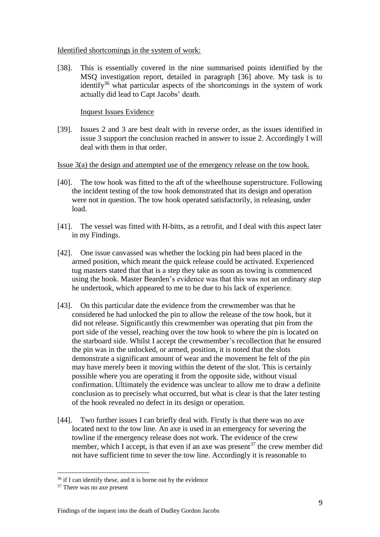#### Identified shortcomings in the system of work:

[38]. This is essentially covered in the nine summarised points identified by the MSQ investigation report, detailed in paragraph [36] above. My task is to identify $36$  what particular aspects of the shortcomings in the system of work actually did lead to Capt Jacobs' death.

## Inquest Issues Evidence

[39]. Issues 2 and 3 are best dealt with in reverse order, as the issues identified in issue 3 support the conclusion reached in answer to issue 2. Accordingly I will deal with them in that order.

#### Issue 3(a) the design and attempted use of the emergency release on the tow hook.

- [40]. The tow hook was fitted to the aft of the wheelhouse superstructure. Following the incident testing of the tow hook demonstrated that its design and operation were not in question. The tow hook operated satisfactorily, in releasing, under load.
- [41]. The vessel was fitted with H-bitts, as a retrofit, and I deal with this aspect later in my Findings.
- [42]. One issue canvassed was whether the locking pin had been placed in the armed position, which meant the quick release could be activated. Experienced tug masters stated that that is a step they take as soon as towing is commenced using the hook. Master Bearden's evidence was that this was not an ordinary step he undertook, which appeared to me to be due to his lack of experience.
- [43]. On this particular date the evidence from the crewmember was that he considered he had unlocked the pin to allow the release of the tow hook, but it did not release. Significantly this crewmember was operating that pin from the port side of the vessel, reaching over the tow hook to where the pin is located on the starboard side. Whilst I accept the crewmember's recollection that he ensured the pin was in the unlocked, or armed, position, it is noted that the slots demonstrate a significant amount of wear and the movement he felt of the pin may have merely been it moving within the detent of the slot. This is certainly possible where you are operating it from the opposite side, without visual confirmation. Ultimately the evidence was unclear to allow me to draw a definite conclusion as to precisely what occurred, but what is clear is that the later testing of the hook revealed no defect in its design or operation.
- [44]. Two further issues I can briefly deal with. Firstly is that there was no axe located next to the tow line. An axe is used in an emergency for severing the towline if the emergency release does not work. The evidence of the crew member, which I accept, is that even if an axe was present<sup>37</sup> the crew member did not have sufficient time to sever the tow line. Accordingly it is reasonable to

<sup>1</sup>  $36$  if I can identify these, and it is borne out by the evidence

<sup>&</sup>lt;sup>37</sup> There was no axe present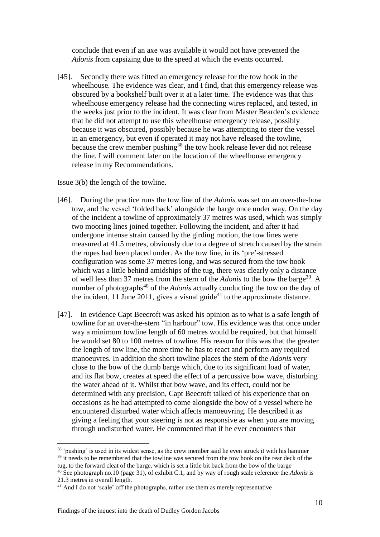conclude that even if an axe was available it would not have prevented the *Adonis* from capsizing due to the speed at which the events occurred.

[45]. Secondly there was fitted an emergency release for the tow hook in the wheelhouse. The evidence was clear, and I find, that this emergency release was obscured by a bookshelf built over it at a later time. The evidence was that this wheelhouse emergency release had the connecting wires replaced, and tested, in the weeks just prior to the incident. It was clear from Master Bearden's evidence that he did not attempt to use this wheelhouse emergency release, possibly because it was obscured, possibly because he was attempting to steer the vessel in an emergency, but even if operated it may not have released the towline, because the crew member pushing<sup>38</sup> the tow hook release lever did not release the line. I will comment later on the location of the wheelhouse emergency release in my Recommendations.

#### Issue 3(b) the length of the towline.

- [46]. During the practice runs the tow line of the *Adonis* was set on an over-the-bow tow, and the vessel 'folded back' alongside the barge once under way. On the day of the incident a towline of approximately 37 metres was used, which was simply two mooring lines joined together. Following the incident, and after it had undergone intense strain caused by the girding motion, the tow lines were measured at 41.5 metres, obviously due to a degree of stretch caused by the strain the ropes had been placed under. As the tow line, in its 'pre'-stressed configuration was some 37 metres long, and was secured from the tow hook which was a little behind amidships of the tug, there was clearly only a distance of well less than 37 metres from the stern of the *Adonis* to the bow the barge<sup>39</sup>. A number of photographs<sup>40</sup> of the *Adonis* actually conducting the tow on the day of the incident, 11 June 2011, gives a visual guide<sup>41</sup> to the approximate distance.
- [47]. In evidence Capt Beecroft was asked his opinion as to what is a safe length of towline for an over-the-stern "in harbour" tow. His evidence was that once under way a minimum towline length of 60 metres would be required, but that himself he would set 80 to 100 metres of towline. His reason for this was that the greater the length of tow line, the more time he has to react and perform any required manoeuvres. In addition the short towline places the stern of the *Adonis* very close to the bow of the dumb barge which, due to its significant load of water, and its flat bow, creates at speed the effect of a percussive bow wave, disturbing the water ahead of it. Whilst that bow wave, and its effect, could not be determined with any precision, Capt Beecroft talked of his experience that on occasions as he had attempted to come alongside the bow of a vessel where he encountered disturbed water which affects manoeuvring. He described it as giving a feeling that your steering is not as responsive as when you are moving through undisturbed water. He commented that if he ever encounters that

<sup>&</sup>lt;sup>38</sup> 'pushing' is used in its widest sense, as the crew member said he even struck it with his hammer  $39$  it needs to be remembered that the towline was secured from the tow hook on the rear deck of the tug, to the forward cleat of the barge, which is set a little bit back from the bow of the barge <sup>40</sup> See photograph no.10 (page 31), of exhibit C.1, and by way of rough scale reference the *Adonis* is 21.3 metres in overall length.

<sup>&</sup>lt;sup>41</sup> And I do not 'scale' off the photographs, rather use them as merely representative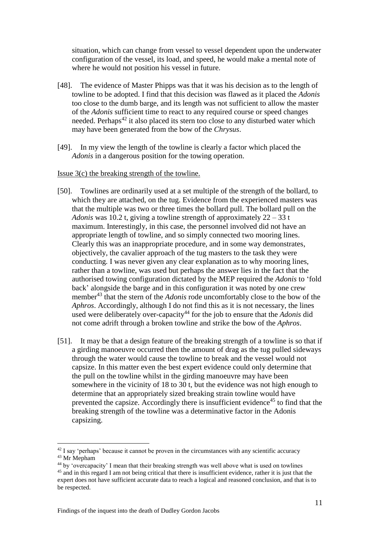situation, which can change from vessel to vessel dependent upon the underwater configuration of the vessel, its load, and speed, he would make a mental note of where he would not position his vessel in future.

- [48]. The evidence of Master Phipps was that it was his decision as to the length of towline to be adopted. I find that this decision was flawed as it placed the *Adonis* too close to the dumb barge, and its length was not sufficient to allow the master of the *Adonis* sufficient time to react to any required course or speed changes needed. Perhaps<sup>42</sup> it also placed its stern too close to any disturbed water which may have been generated from the bow of the *Chrysus*.
- [49]. In my view the length of the towline is clearly a factor which placed the *Adonis* in a dangerous position for the towing operation.

#### Issue 3(c) the breaking strength of the towline.

- [50]. Towlines are ordinarily used at a set multiple of the strength of the bollard, to which they are attached, on the tug. Evidence from the experienced masters was that the multiple was two or three times the bollard pull. The bollard pull on the *Adonis* was 10.2 t, giving a towline strength of approximately 22 – 33 t maximum. Interestingly, in this case, the personnel involved did not have an appropriate length of towline, and so simply connected two mooring lines. Clearly this was an inappropriate procedure, and in some way demonstrates, objectively, the cavalier approach of the tug masters to the task they were conducting. I was never given any clear explanation as to why mooring lines, rather than a towline, was used but perhaps the answer lies in the fact that the authorised towing configuration dictated by the MEP required the *Adonis* to 'fold back' alongside the barge and in this configuration it was noted by one crew member<sup>43</sup> that the stern of the *Adonis* rode uncomfortably close to the bow of the *Aphros*. Accordingly, although I do not find this as it is not necessary, the lines used were deliberately over-capacity<sup>44</sup> for the job to ensure that the *Adonis* did not come adrift through a broken towline and strike the bow of the *Aphros*.
- [51]. It may be that a design feature of the breaking strength of a towline is so that if a girding manoeuvre occurred then the amount of drag as the tug pulled sideways through the water would cause the towline to break and the vessel would not capsize. In this matter even the best expert evidence could only determine that the pull on the towline whilst in the girding manoeuvre may have been somewhere in the vicinity of 18 to 30 t, but the evidence was not high enough to determine that an appropriately sized breaking strain towline would have prevented the capsize. Accordingly there is insufficient evidence<sup> $45$ </sup> to find that the breaking strength of the towline was a determinative factor in the Adonis capsizing.

<sup>&</sup>lt;sup>42</sup> I say 'perhaps' because it cannot be proven in the circumstances with any scientific accuracy <sup>43</sup> Mr Mepham

<sup>&</sup>lt;sup>44</sup> by 'overcapacity' I mean that their breaking strength was well above what is used on towlines <sup>45</sup> and in this regard I am not being critical that there is insufficient evidence, rather it is just that the expert does not have sufficient accurate data to reach a logical and reasoned conclusion, and that is to be respected.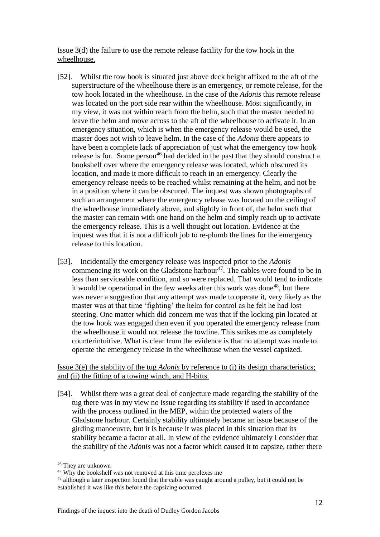Issue 3(d) the failure to use the remote release facility for the tow hook in the wheelhouse.

- [52]. Whilst the tow hook is situated just above deck height affixed to the aft of the superstructure of the wheelhouse there is an emergency, or remote release, for the tow hook located in the wheelhouse. In the case of the *Adonis* this remote release was located on the port side rear within the wheelhouse. Most significantly, in my view, it was not within reach from the helm, such that the master needed to leave the helm and move across to the aft of the wheelhouse to activate it. In an emergency situation, which is when the emergency release would be used, the master does not wish to leave helm. In the case of the *Adonis* there appears to have been a complete lack of appreciation of just what the emergency tow hook release is for. Some person<sup>46</sup> had decided in the past that they should construct a bookshelf over where the emergency release was located, which obscured its location, and made it more difficult to reach in an emergency. Clearly the emergency release needs to be reached whilst remaining at the helm, and not be in a position where it can be obscured. The inquest was shown photographs of such an arrangement where the emergency release was located on the ceiling of the wheelhouse immediately above, and slightly in front of, the helm such that the master can remain with one hand on the helm and simply reach up to activate the emergency release. This is a well thought out location. Evidence at the inquest was that it is not a difficult job to re-plumb the lines for the emergency release to this location.
- [53]. Incidentally the emergency release was inspected prior to the *Adonis*  commencing its work on the Gladstone harbour<sup>47</sup>. The cables were found to be in less than serviceable condition, and so were replaced. That would tend to indicate it would be operational in the few weeks after this work was done<sup>48</sup>, but there was never a suggestion that any attempt was made to operate it, very likely as the master was at that time 'fighting' the helm for control as he felt he had lost steering. One matter which did concern me was that if the locking pin located at the tow hook was engaged then even if you operated the emergency release from the wheelhouse it would not release the towline. This strikes me as completely counterintuitive. What is clear from the evidence is that no attempt was made to operate the emergency release in the wheelhouse when the vessel capsized.

## Issue 3(e) the stability of the tug *Adonis* by reference to (i) its design characteristics; and (ii) the fitting of a towing winch, and H-bitts.

[54]. Whilst there was a great deal of conjecture made regarding the stability of the tug there was in my view no issue regarding its stability if used in accordance with the process outlined in the MEP, within the protected waters of the Gladstone harbour. Certainly stability ultimately became an issue because of the girding manoeuvre, but it is because it was placed in this situation that its stability became a factor at all. In view of the evidence ultimately I consider that the stability of the *Adonis* was not a factor which caused it to capsize, rather there

<sup>46</sup> They are unknown

<sup>&</sup>lt;sup>47</sup> Why the bookshelf was not removed at this time perplexes me

<sup>48</sup> although a later inspection found that the cable was caught around a pulley, but it could not be established it was like this before the capsizing occurred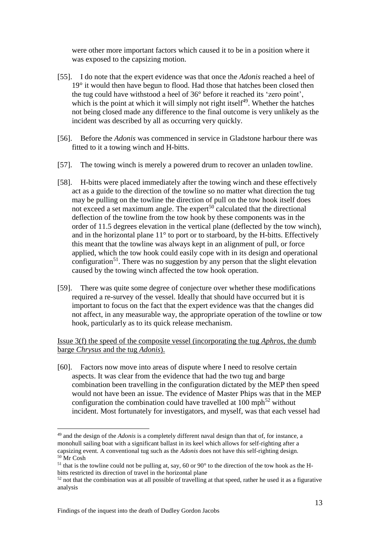were other more important factors which caused it to be in a position where it was exposed to the capsizing motion.

- [55]. I do note that the expert evidence was that once the *Adonis* reached a heel of 19° it would then have begun to flood. Had those that hatches been closed then the tug could have withstood a heel of 36° before it reached its 'zero point', which is the point at which it will simply not right itself<sup>49</sup>. Whether the hatches not being closed made any difference to the final outcome is very unlikely as the incident was described by all as occurring very quickly.
- [56]. Before the *Adonis* was commenced in service in Gladstone harbour there was fitted to it a towing winch and H-bitts.
- [57]. The towing winch is merely a powered drum to recover an unladen towline.
- [58]. H-bitts were placed immediately after the towing winch and these effectively act as a guide to the direction of the towline so no matter what direction the tug may be pulling on the towline the direction of pull on the tow hook itself does not exceed a set maximum angle. The expert<sup>50</sup> calculated that the directional deflection of the towline from the tow hook by these components was in the order of 11.5 degrees elevation in the vertical plane (deflected by the tow winch), and in the horizontal plane  $11^{\circ}$  to port or to starboard, by the H-bitts. Effectively this meant that the towline was always kept in an alignment of pull, or force applied, which the tow hook could easily cope with in its design and operational configuration<sup>51</sup>. There was no suggestion by any person that the slight elevation caused by the towing winch affected the tow hook operation.
- [59]. There was quite some degree of conjecture over whether these modifications required a re-survey of the vessel. Ideally that should have occurred but it is important to focus on the fact that the expert evidence was that the changes did not affect, in any measurable way, the appropriate operation of the towline or tow hook, particularly as to its quick release mechanism.

Issue 3(f) the speed of the composite vessel (incorporating the tug *Aphros*, the dumb barge *Chrysus* and the tug *Adonis*).

[60]. Factors now move into areas of dispute where I need to resolve certain aspects. It was clear from the evidence that had the two tug and barge combination been travelling in the configuration dictated by the MEP then speed would not have been an issue. The evidence of Master Phips was that in the MEP configuration the combination could have travelled at  $100 \text{ mph}^{52}$  without incident. Most fortunately for investigators, and myself, was that each vessel had

<sup>49</sup> and the design of the *Adonis* is a completely different naval design than that of, for instance, a monohull sailing boat with a significant ballast in its keel which allows for self-righting after a capsizing event. A conventional tug such as the *Adonis* does not have this self-righting design. <sup>50</sup> Mr Cosh

<sup>&</sup>lt;sup>51</sup> that is the towline could not be pulling at, say, 60 or 90 $^{\circ}$  to the direction of the tow hook as the Hbitts restricted its direction of travel in the horizontal plane

 $52$  not that the combination was at all possible of travelling at that speed, rather he used it as a figurative analysis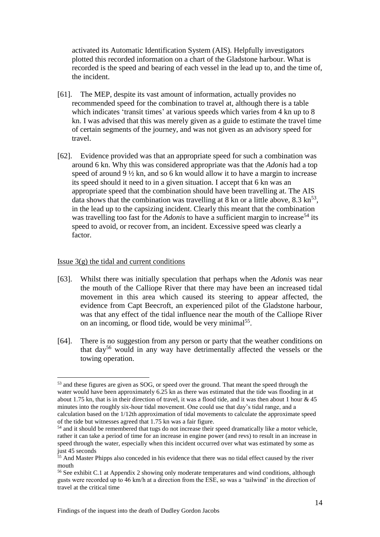activated its Automatic Identification System (AIS). Helpfully investigators plotted this recorded information on a chart of the Gladstone harbour. What is recorded is the speed and bearing of each vessel in the lead up to, and the time of, the incident.

- [61]. The MEP, despite its vast amount of information, actually provides no recommended speed for the combination to travel at, although there is a table which indicates 'transit times' at various speeds which varies from 4 kn up to 8 kn. I was advised that this was merely given as a guide to estimate the travel time of certain segments of the journey, and was not given as an advisory speed for travel.
- [62]. Evidence provided was that an appropriate speed for such a combination was around 6 kn. Why this was considered appropriate was that the *Adonis* had a top speed of around 9 ½ kn, and so 6 kn would allow it to have a margin to increase its speed should it need to in a given situation. I accept that 6 kn was an appropriate speed that the combination should have been travelling at. The AIS data shows that the combination was travelling at 8 kn or a little above, 8.3 kn<sup>53</sup>, in the lead up to the capsizing incident. Clearly this meant that the combination was travelling too fast for the *Adonis* to have a sufficient margin to increase<sup>54</sup> its speed to avoid, or recover from, an incident. Excessive speed was clearly a factor.

#### Issue  $3(g)$  the tidal and current conditions

<u>.</u>

- [63]. Whilst there was initially speculation that perhaps when the *Adonis* was near the mouth of the Calliope River that there may have been an increased tidal movement in this area which caused its steering to appear affected, the evidence from Capt Beecroft, an experienced pilot of the Gladstone harbour, was that any effect of the tidal influence near the mouth of the Calliope River on an incoming, or flood tide, would be very minimal<sup>55</sup>.
- [64]. There is no suggestion from any person or party that the weather conditions on that day<sup>56</sup> would in any way have detrimentally affected the vessels or the towing operation.

<sup>&</sup>lt;sup>53</sup> and these figures are given as SOG, or speed over the ground. That meant the speed through the water would have been approximately 6.25 kn as there was estimated that the tide was flooding in at about 1.75 kn, that is in their direction of travel, it was a flood tide, and it was then about 1 hour & 45 minutes into the roughly six-hour tidal movement. One could use that day's tidal range, and a calculation based on the 1/12th approximation of tidal movements to calculate the approximate speed of the tide but witnesses agreed that 1.75 kn was a fair figure.

<sup>&</sup>lt;sup>54</sup> and it should be remembered that tugs do not increase their speed dramatically like a motor vehicle, rather it can take a period of time for an increase in engine power (and revs) to result in an increase in speed through the water, especially when this incident occurred over what was estimated by some as just 45 seconds

<sup>&</sup>lt;sup>55</sup> And Master Phipps also conceded in his evidence that there was no tidal effect caused by the river mouth

<sup>56</sup> See exhibit C.1 at Appendix 2 showing only moderate temperatures and wind conditions, although gusts were recorded up to 46 km/h at a direction from the ESE, so was a 'tailwind' in the direction of travel at the critical time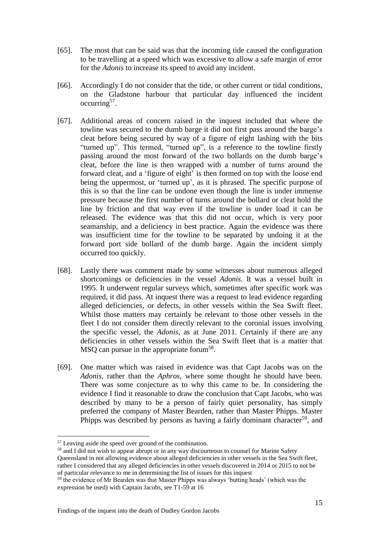- [65]. The most that can be said was that the incoming tide caused the configuration to be travelling at a speed which was excessive to allow a safe margin of error for the *Adonis* to increase its speed to avoid any incident.
- [66]. Accordingly I do not consider that the tide, or other current or tidal conditions, on the Gladstone harbour that particular day influenced the incident occurring<sup>57</sup>.
- [67]. Additional areas of concern raised in the inquest included that where the towline was secured to the dumb barge it did not first pass around the barge's cleat before being secured by way of a figure of eight lashing with the bits "turned up". This termed, "turned up", is a reference to the towline firstly passing around the most forward of the two bollards on the dumb barge's cleat, before the line is then wrapped with a number of turns around the forward cleat, and a 'figure of eight' is then formed on top with the loose end being the uppermost, or 'turned up', as it is phrased. The specific purpose of this is so that the line can be undone even though the line is under immense pressure because the first number of turns around the bollard or cleat hold the line by friction and that way even if the towline is under load it can be released. The evidence was that this did not occur, which is very poor seamanship, and a deficiency in best practice. Again the evidence was there was insufficient time for the towline to be separated by undoing it at the forward port side bollard of the dumb barge. Again the incident simply occurred too quickly.
- [68]. Lastly there was comment made by some witnesses about numerous alleged shortcomings or deficiencies in the vessel *Adonis*. It was a vessel built in 1995. It underwent regular surveys which, sometimes after specific work was required, it did pass. At inquest there was a request to lead evidence regarding alleged deficiencies, or defects, in other vessels within the Sea Swift fleet. Whilst those matters may certainly be relevant to those other vessels in the fleet I do not consider them directly relevant to the coronial issues involving the specific vessel, the *Adonis*, as at June 2011. Certainly if there are any deficiencies in other vessels within the Sea Swift fleet that is a matter that MSQ can pursue in the appropriate forum<sup>58</sup>.
- [69]. One matter which was raised in evidence was that Capt Jacobs was on the *Adonis*, rather than the *Aphros*, where some thought he should have been. There was some conjecture as to why this came to be. In considering the evidence I find it reasonable to draw the conclusion that Capt Jacobs, who was described by many to be a person of fairly quiet personality, has simply preferred the company of Master Bearden, rather than Master Phipps. Master Phipps was described by persons as having a fairly dominant character<sup>59</sup>, and

<sup>57</sup> Leaving aside the speed over ground of the combination.

<sup>&</sup>lt;sup>58</sup> and I did not wish to appear abrupt or in any way discourteous to counsel for Marine Safety Queensland in not allowing evidence about alleged deficiencies in other vessels in the Sea Swift fleet, rather I considered that any alleged deficiencies in other vessels discovered in 2014 or 2015 to not be of particular relevance to me in determining the list of issues for this inquest

<sup>&</sup>lt;sup>59</sup> the evidence of Mr Bearden was that Master Phipps was always 'butting heads' (which was the expression he used) with Captain Jacobs, see T1-59 at 16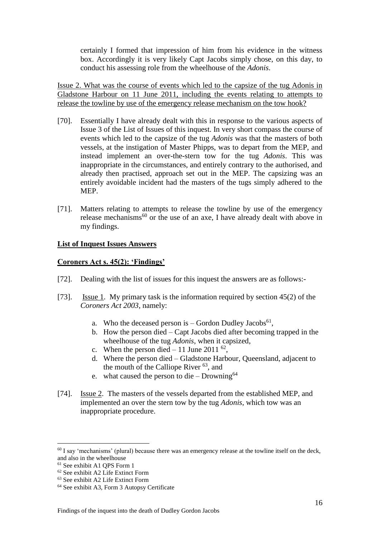certainly I formed that impression of him from his evidence in the witness box. Accordingly it is very likely Capt Jacobs simply chose, on this day, to conduct his assessing role from the wheelhouse of the *Adonis*.

Issue 2. What was the course of events which led to the capsize of the tug Adonis in Gladstone Harbour on 11 June 2011, including the events relating to attempts to release the towline by use of the emergency release mechanism on the tow hook?

- [70]. Essentially I have already dealt with this in response to the various aspects of Issue 3 of the List of Issues of this inquest. In very short compass the course of events which led to the capsize of the tug *Adonis* was that the masters of both vessels, at the instigation of Master Phipps, was to depart from the MEP, and instead implement an over-the-stern tow for the tug *Adonis*. This was inappropriate in the circumstances, and entirely contrary to the authorised, and already then practised, approach set out in the MEP. The capsizing was an entirely avoidable incident had the masters of the tugs simply adhered to the MEP.
- [71]. Matters relating to attempts to release the towline by use of the emergency release mechanisms<sup>60</sup> or the use of an axe, I have already dealt with above in my findings.

## **List of Inquest Issues Answers**

#### **Coroners Act s. 45(2): 'Findings'**

- [72]. Dealing with the list of issues for this inquest the answers are as follows:-
- [73]. Issue 1. My primary task is the information required by section 45(2) of the *Coroners Act 2003*, namely:
	- a. Who the deceased person is  $-$  Gordon Dudley Jacobs<sup>61</sup>,
	- b. How the person died Capt Jacobs died after becoming trapped in the wheelhouse of the tug *Adonis*, when it capsized,
	- c. When the person died  $-11$  June 2011<sup>62</sup>,
	- d. Where the person died Gladstone Harbour, Queensland, adjacent to the mouth of the Calliope River  $63$ , and
	- e. what caused the person to die Drowning<sup>64</sup>
- [74]. Issue 2. The masters of the vessels departed from the established MEP, and implemented an over the stern tow by the tug *Adonis*, which tow was an inappropriate procedure.

 $60$  I say 'mechanisms' (plural) because there was an emergency release at the towline itself on the deck, and also in the wheelhouse

<sup>61</sup> See exhibit A1 QPS Form 1

<sup>62</sup> See exhibit A2 Life Extinct Form

<sup>63</sup> See exhibit A2 Life Extinct Form

<sup>64</sup> See exhibit A3, Form 3 Autopsy Certificate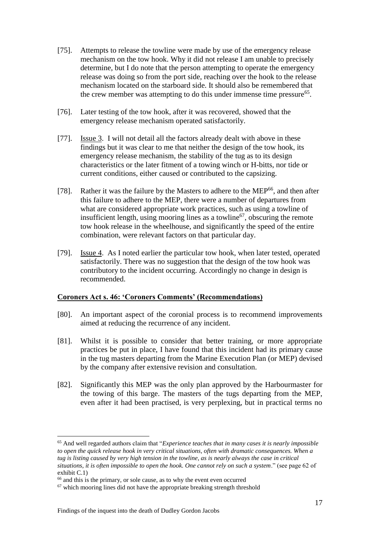- [75]. Attempts to release the towline were made by use of the emergency release mechanism on the tow hook. Why it did not release I am unable to precisely determine, but I do note that the person attempting to operate the emergency release was doing so from the port side, reaching over the hook to the release mechanism located on the starboard side. It should also be remembered that the crew member was attempting to do this under immense time pressure<sup>65</sup>.
- [76]. Later testing of the tow hook, after it was recovered, showed that the emergency release mechanism operated satisfactorily.
- [77]. Issue 3. I will not detail all the factors already dealt with above in these findings but it was clear to me that neither the design of the tow hook, its emergency release mechanism, the stability of the tug as to its design characteristics or the later fitment of a towing winch or H-bitts, nor tide or current conditions, either caused or contributed to the capsizing.
- [78]. Rather it was the failure by the Masters to adhere to the MEP<sup>66</sup>, and then after this failure to adhere to the MEP, there were a number of departures from what are considered appropriate work practices, such as using a towline of insufficient length, using mooring lines as a towline<sup>67</sup>, obscuring the remote tow hook release in the wheelhouse, and significantly the speed of the entire combination, were relevant factors on that particular day.
- [79]. Issue 4. As I noted earlier the particular tow hook, when later tested, operated satisfactorily. There was no suggestion that the design of the tow hook was contributory to the incident occurring. Accordingly no change in design is recommended.

#### **Coroners Act s. 46: 'Coroners Comments' (Recommendations)**

- [80]. An important aspect of the coronial process is to recommend improvements aimed at reducing the recurrence of any incident.
- [81]. Whilst it is possible to consider that better training, or more appropriate practices be put in place, I have found that this incident had its primary cause in the tug masters departing from the Marine Execution Plan (or MEP) devised by the company after extensive revision and consultation.
- [82]. Significantly this MEP was the only plan approved by the Harbourmaster for the towing of this barge. The masters of the tugs departing from the MEP, even after it had been practised, is very perplexing, but in practical terms no

<sup>65</sup> And well regarded authors claim that "*Experience teaches that in many cases it is nearly impossible to open the quick release hook in very critical situations, often with dramatic consequences. When a tug is listing caused by very high tension in the towline, as is nearly always the case in critical situations, it is often impossible to open the hook. One cannot rely on such a system*." (see page 62 of exhibit C.1)

 $66$  and this is the primary, or sole cause, as to why the event even occurred

<sup>&</sup>lt;sup>67</sup> which mooring lines did not have the appropriate breaking strength threshold